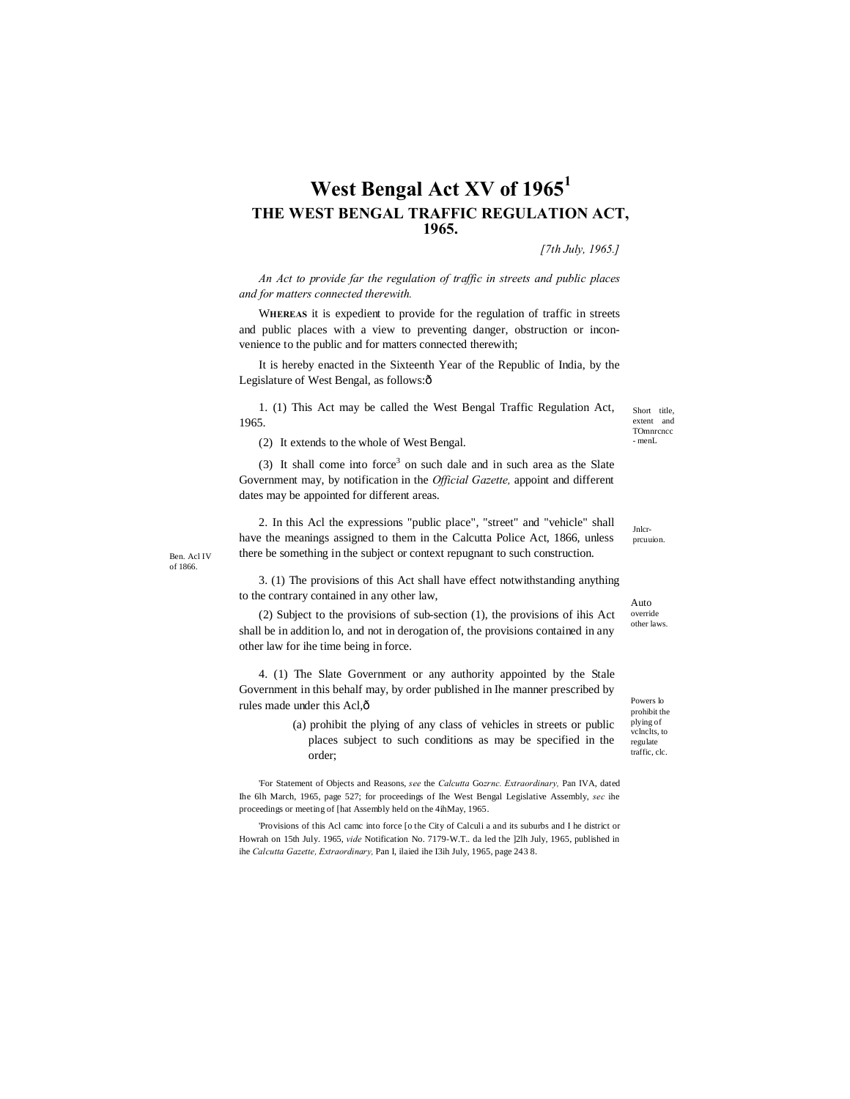## **West Bengal Act XV of 1965<sup>1</sup> THE WEST BENGAL TRAFFIC REGULATION ACT, 1965.**

*[7th July, 1965.]*

*An Act to provide far the regulation of traffic in streets and public places and for matters connected therewith.*

W**HEREAS** it is expedient to provide for the regulation of traffic in streets and public places with a view to preventing danger, obstruction or inconvenience to the public and for matters connected therewith;

It is hereby enacted in the Sixteenth Year of the Republic of India, by the Legislature of West Bengal, as follows: $\hat{o}$ 

1. (1) This Act may be called the West Bengal Traffic Regulation Act, 1965.

(2) It extends to the whole of West Bengal.

 $(3)$  It shall come into force<sup>3</sup> on such dale and in such area as the Slate Government may, by notification in the *Official Gazette,* appoint and different dates may be appointed for different areas.

2. In this Acl the expressions "public place", "street" and "vehicle" shall have the meanings assigned to them in the Calcutta Police Act, 1866, unless there be something in the subject or context repugnant to such construction.

Ben. Acl IV of 1866.

> 3. (1) The provisions of this Act shall have effect notwithstanding anything to the contrary contained in any other law,

(2) Subject to the provisions of sub-section (1), the provisions of ihis Act shall be in addition lo, and not in derogation of, the provisions contained in any other law for ihe time being in force.

4. (1) The Slate Government or any authority appointed by the Stale Government in this behalf may, by order published in Ihe manner prescribed by rules made under this Acl,—

> (a) prohibit the plying of any class of vehicles in streets or public places subject to such conditions as may be specified in the order;

'For Statement of Objects and Reasons, *see* the *Calcutta* Go*zrnc. Extraordinary,* Pan IVA, dated Ihe 6lh March, 1965, page 527; for proceedings of Ihe West Bengal Legislative Assembly, *sec* ihe proceedings or meeting of [hat Assembly held on the 4ihMay, 1965.

'Provisions of this Acl camc into force [o the City of Calculi a and its suburbs and I he district or Howrah on 15th July. 1965, *vide* Notification No. 7179-W.T.. da led the ]2lh July, 1965, published in ihe *Calcutta Gazette, Extraordinary,* Pan I, ilaied ihe I3ih July, 1965, page 243 8.

Short title, extent and **TOmnrcncc** - menL

Jnlcrprcuuion.

Auto override other laws.

Powers lo prohibit the plying of vclnclts, to regulate traffic, clc.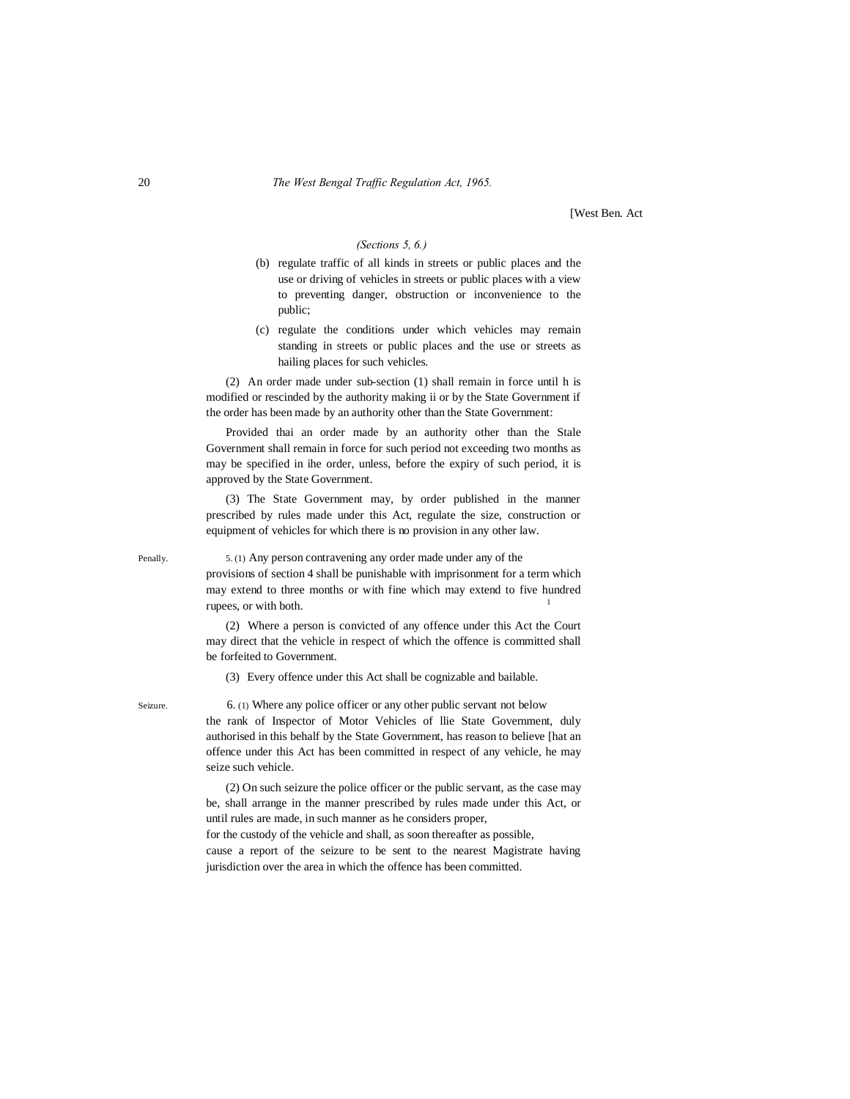[West Ben. Act

## *(Sections 5, 6.)*

- (b) regulate traffic of all kinds in streets or public places and the use or driving of vehicles in streets or public places with a view to preventing danger, obstruction or inconvenience to the public;
- (c) regulate the conditions under which vehicles may remain standing in streets or public places and the use or streets as hailing places for such vehicles.

(2) An order made under sub-section (1) shall remain in force until h is modified or rescinded by the authority making ii or by the State Government if the order has been made by an authority other than the State Government:

Provided thai an order made by an authority other than the Stale Government shall remain in force for such period not exceeding two months as may be specified in ihe order, unless, before the expiry of such period, it is approved by the State Government.

(3) The State Government may, by order published in the manner prescribed by rules made under this Act, regulate the size, construction or equipment of vehicles for which there is no provision in any other law.

Penally. 5. (1) Any person contravening any order made under any of the

provisions of section 4 shall be punishable with imprisonment for a term which may extend to three months or with fine which may extend to five hundred rupees, or with both.

(2) Where a person is convicted of any offence under this Act the Court may direct that the vehicle in respect of which the offence is committed shall be forfeited to Government.

(3) Every offence under this Act shall be cognizable and bailable.

Seizure. 6. (1) Where any police officer or any other public servant not below the rank of Inspector of Motor Vehicles of llie State Government, duly authorised in this behalf by the State Government, has reason to believe [hat an offence under this Act has been committed in respect of any vehicle, he may seize such vehicle.

> (2) On such seizure the police officer or the public servant, as the case may be, shall arrange in the manner prescribed by rules made under this Act, or until rules are made, in such manner as he considers proper,

> for the custody of the vehicle and shall, as soon thereafter as possible, cause a report of the seizure to be sent to the nearest Magistrate having jurisdiction over the area in which the offence has been committed.